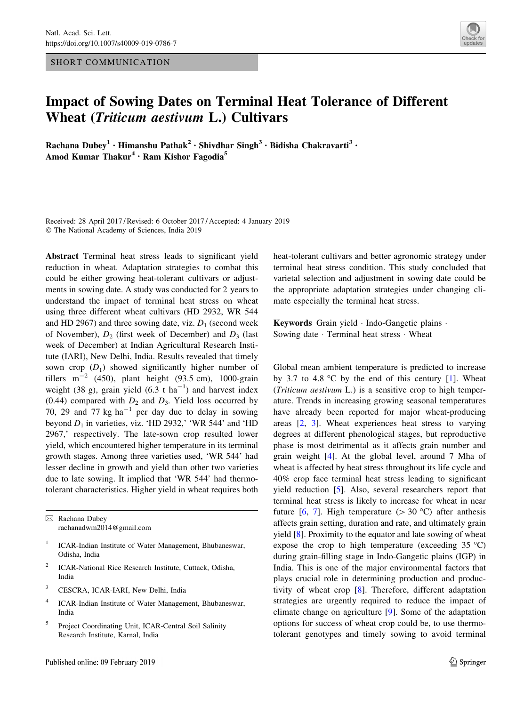## SHORT COMMUNICATION



## Impact of Sowing Dates on Terminal Heat Tolerance of Different Wheat (Triticum aestivum L.) Cultivars

Rachana Dubey<sup>1</sup> • Himanshu Pathak<sup>2</sup> • Shivdhar Singh<sup>3</sup> • Bidisha Chakravarti<sup>3</sup> • Amod Kumar Thakur<sup>4</sup> • Ram Kishor Fagodia<sup>5</sup>

Received: 28 April 2017 / Revised: 6 October 2017 / Accepted: 4 January 2019 - The National Academy of Sciences, India 2019

Abstract Terminal heat stress leads to significant yield reduction in wheat. Adaptation strategies to combat this could be either growing heat-tolerant cultivars or adjustments in sowing date. A study was conducted for 2 years to understand the impact of terminal heat stress on wheat using three different wheat cultivars (HD 2932, WR 544 and HD 2967) and three sowing date, viz.  $D_1$  (second week of November),  $D_2$  (first week of December) and  $D_3$  (last week of December) at Indian Agricultural Research Institute (IARI), New Delhi, India. Results revealed that timely sown crop  $(D_1)$  showed significantly higher number of tillers  $m^{-2}$  (450), plant height (93.5 cm), 1000-grain weight (38 g), grain yield  $(6.3 \text{ t} \text{ ha}^{-1})$  and harvest index (0.44) compared with  $D_2$  and  $D_3$ . Yield loss occurred by 70, 29 and 77 kg ha<sup>-1</sup> per day due to delay in sowing beyond  $D_1$  in varieties, viz. 'HD 2932,' 'WR 544' and 'HD 2967,' respectively. The late-sown crop resulted lower yield, which encountered higher temperature in its terminal growth stages. Among three varieties used, 'WR 544' had lesser decline in growth and yield than other two varieties due to late sowing. It implied that 'WR 544' had thermotolerant characteristics. Higher yield in wheat requires both

& Rachana Dubey rachanadwm2014@gmail.com

- ICAR-Indian Institute of Water Management, Bhubaneswar, Odisha, India
- <sup>2</sup> ICAR-National Rice Research Institute, Cuttack, Odisha, India
- <sup>3</sup> CESCRA, ICAR-IARI, New Delhi, India
- <sup>4</sup> ICAR-Indian Institute of Water Management, Bhubaneswar, India
- <sup>5</sup> Project Coordinating Unit, ICAR-Central Soil Salinity Research Institute, Karnal, India

heat-tolerant cultivars and better agronomic strategy under terminal heat stress condition. This study concluded that varietal selection and adjustment in sowing date could be the appropriate adaptation strategies under changing climate especially the terminal heat stress.

Keywords Grain yield - Indo-Gangetic plains - Sowing date - Terminal heat stress - Wheat

Global mean ambient temperature is predicted to increase by 3.7 to 4.8  $\degree$ C by the end of this century [[1\]](#page-3-0). Wheat (Triticum aestivum L.) is a sensitive crop to high temperature. Trends in increasing growing seasonal temperatures have already been reported for major wheat-producing areas [[2,](#page-3-0) [3\]](#page-3-0). Wheat experiences heat stress to varying degrees at different phenological stages, but reproductive phase is most detrimental as it affects grain number and grain weight [[4\]](#page-3-0). At the global level, around 7 Mha of wheat is affected by heat stress throughout its life cycle and 40% crop face terminal heat stress leading to significant yield reduction [[5\]](#page-3-0). Also, several researchers report that terminal heat stress is likely to increase for wheat in near future [\[6](#page-3-0), [7](#page-3-0)]. High temperature ( $> 30$  °C) after anthesis affects grain setting, duration and rate, and ultimately grain yield [[8\]](#page-3-0). Proximity to the equator and late sowing of wheat expose the crop to high temperature (exceeding  $35^{\circ}$ C) during grain-filling stage in Indo-Gangetic plains (IGP) in India. This is one of the major environmental factors that plays crucial role in determining production and productivity of wheat crop [\[8](#page-3-0)]. Therefore, different adaptation strategies are urgently required to reduce the impact of climate change on agriculture [[9\]](#page-3-0). Some of the adaptation options for success of wheat crop could be, to use thermotolerant genotypes and timely sowing to avoid terminal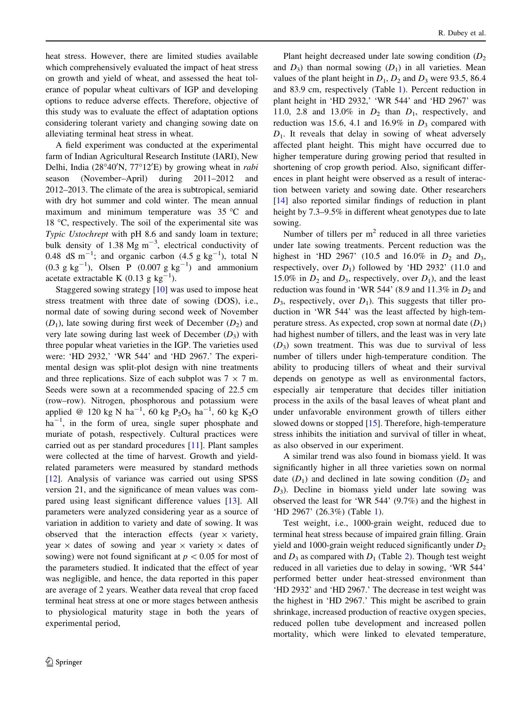heat stress. However, there are limited studies available which comprehensively evaluated the impact of heat stress on growth and yield of wheat, and assessed the heat tolerance of popular wheat cultivars of IGP and developing options to reduce adverse effects. Therefore, objective of this study was to evaluate the effect of adaptation options considering tolerant variety and changing sowing date on alleviating terminal heat stress in wheat.

A field experiment was conducted at the experimental farm of Indian Agricultural Research Institute (IARI), New Delhi, India (28°40'N, 77°12'E) by growing wheat in rabi season (November–April) during 2011–2012 and 2012–2013. The climate of the area is subtropical, semiarid with dry hot summer and cold winter. The mean annual maximum and minimum temperature was  $35^{\circ}$ C and 18  $\degree$ C, respectively. The soil of the experimental site was Typic Ustochrept with pH 8.6 and sandy loam in texture; bulk density of 1.38 Mg  $m^{-3}$ , electrical conductivity of 0.48 dS m<sup>-1</sup>; and organic carbon  $(4.5 \text{ g kg}^{-1})$ , total N  $(0.3 \text{ g kg}^{-1})$ , Olsen P  $(0.007 \text{ g kg}^{-1})$  and ammonium acetate extractable K (0.13 g  $kg^{-1}$ ).

Staggered sowing strategy [[10\]](#page-3-0) was used to impose heat stress treatment with three date of sowing (DOS), i.e., normal date of sowing during second week of November  $(D_1)$ , late sowing during first week of December  $(D_2)$  and very late sowing during last week of December  $(D_3)$  with three popular wheat varieties in the IGP. The varieties used were: 'HD 2932,' 'WR 544' and 'HD 2967.' The experimental design was split-plot design with nine treatments and three replications. Size of each subplot was  $7 \times 7$  m. Seeds were sown at a recommended spacing of 22.5 cm (row–row). Nitrogen, phosphorous and potassium were applied @ 120 kg N ha<sup>-1</sup>, 60 kg P<sub>2</sub>O<sub>5</sub> ha<sup>-1</sup>, 60 kg K<sub>2</sub>O  $ha^{-1}$ , in the form of urea, single super phosphate and muriate of potash, respectively. Cultural practices were carried out as per standard procedures [[11\]](#page-3-0). Plant samples were collected at the time of harvest. Growth and yieldrelated parameters were measured by standard methods [\[12](#page-3-0)]. Analysis of variance was carried out using SPSS version 21, and the significance of mean values was compared using least significant difference values [\[13](#page-3-0)]. All parameters were analyzed considering year as a source of variation in addition to variety and date of sowing. It was observed that the interaction effects (year  $\times$  variety, year  $\times$  dates of sowing and year  $\times$  variety  $\times$  dates of sowing) were not found significant at  $p \lt 0.05$  for most of the parameters studied. It indicated that the effect of year was negligible, and hence, the data reported in this paper are average of 2 years. Weather data reveal that crop faced terminal heat stress at one or more stages between anthesis to physiological maturity stage in both the years of experimental period,

Plant height decreased under late sowing condition  $(D<sub>2</sub>)$ and  $D_3$ ) than normal sowing  $(D_1)$  in all varieties. Mean values of the plant height in  $D_1$ ,  $D_2$  and  $D_3$  were 93.5, 86.4 and 83.9 cm, respectively (Table [1\)](#page-2-0). Percent reduction in plant height in 'HD 2932,' 'WR 544' and 'HD 2967' was 11.0, 2.8 and 13.0% in  $D_2$  than  $D_1$ , respectively, and reduction was 15.6, 4.1 and 16.9% in  $D_3$  compared with  $D_1$ . It reveals that delay in sowing of wheat adversely affected plant height. This might have occurred due to higher temperature during growing period that resulted in shortening of crop growth period. Also, significant differences in plant height were observed as a result of interaction between variety and sowing date. Other researchers [\[14](#page-3-0)] also reported similar findings of reduction in plant height by 7.3–9.5% in different wheat genotypes due to late sowing.

Number of tillers per  $m<sup>2</sup>$  reduced in all three varieties under late sowing treatments. Percent reduction was the highest in 'HD 2967' (10.5 and 16.0% in  $D_2$  and  $D_3$ , respectively, over  $D_1$ ) followed by 'HD 2932' (11.0 and 15.0% in  $D_2$  and  $D_3$ , respectively, over  $D_1$ ), and the least reduction was found in 'WR 544' (8.9 and  $11.3\%$  in  $D_2$  and  $D_3$ , respectively, over  $D_1$ ). This suggests that tiller production in 'WR 544' was the least affected by high-temperature stress. As expected, crop sown at normal date  $(D_1)$ had highest number of tillers, and the least was in very late  $(D_3)$  sown treatment. This was due to survival of less number of tillers under high-temperature condition. The ability to producing tillers of wheat and their survival depends on genotype as well as environmental factors, especially air temperature that decides tiller initiation process in the axils of the basal leaves of wheat plant and under unfavorable environment growth of tillers either slowed downs or stopped [[15\]](#page-3-0). Therefore, high-temperature stress inhibits the initiation and survival of tiller in wheat, as also observed in our experiment.

A similar trend was also found in biomass yield. It was significantly higher in all three varieties sown on normal date  $(D_1)$  and declined in late sowing condition  $(D_2)$  and  $D_3$ ). Decline in biomass yield under late sowing was observed the least for 'WR 544' (9.7%) and the highest in 'HD 2967' (26.3%) (Table [1](#page-2-0)).

Test weight, i.e., 1000-grain weight, reduced due to terminal heat stress because of impaired grain filling. Grain yield and 1000-grain weight reduced significantly under  $D_2$ and  $D_3$  as compared with  $D_1$  (Table [2](#page-2-0)). Though test weight reduced in all varieties due to delay in sowing, 'WR 544' performed better under heat-stressed environment than 'HD 2932' and 'HD 2967.' The decrease in test weight was the highest in 'HD 2967.' This might be ascribed to grain shrinkage, increased production of reactive oxygen species, reduced pollen tube development and increased pollen mortality, which were linked to elevated temperature,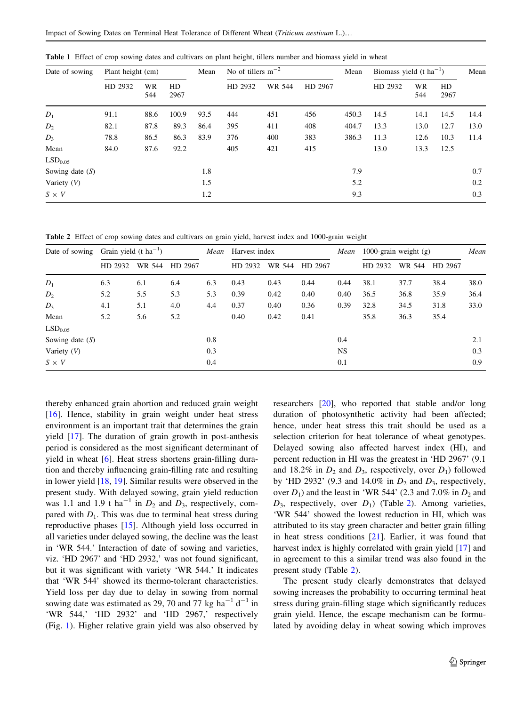| Date of sowing      | Plant height (cm) |           |            | Mean | No of tillers $m^{-2}$ |        |         | Mean  | Biomass yield $(t \text{ ha}^{-1})$ |           |            | Mean |
|---------------------|-------------------|-----------|------------|------|------------------------|--------|---------|-------|-------------------------------------|-----------|------------|------|
|                     | HD 2932           | WR<br>544 | HD<br>2967 |      | HD 2932                | WR 544 | HD 2967 |       | HD 2932                             | WR<br>544 | HD<br>2967 |      |
| $D_1$               | 91.1              | 88.6      | 100.9      | 93.5 | 444                    | 451    | 456     | 450.3 | 14.5                                | 14.1      | 14.5       | 14.4 |
| $D_2$               | 82.1              | 87.8      | 89.3       | 86.4 | 395                    | 411    | 408     | 404.7 | 13.3                                | 13.0      | 12.7       | 13.0 |
| $D_3$               | 78.8              | 86.5      | 86.3       | 83.9 | 376                    | 400    | 383     | 386.3 | 11.3                                | 12.6      | 10.3       | 11.4 |
| Mean                | 84.0              | 87.6      | 92.2       |      | 405                    | 421    | 415     |       | 13.0                                | 13.3      | 12.5       |      |
| LSD <sub>0.05</sub> |                   |           |            |      |                        |        |         |       |                                     |           |            |      |
| Sowing date $(S)$   |                   |           |            | 1.8  |                        |        |         | 7.9   |                                     |           |            | 0.7  |
| Variety $(V)$       |                   |           |            | 1.5  |                        |        |         | 5.2   |                                     |           |            | 0.2  |
| $S \times V$        |                   |           |            | 1.2  |                        |        |         | 9.3   |                                     |           |            | 0.3  |

<span id="page-2-0"></span>Table 1 Effect of crop sowing dates and cultivars on plant height, tillers number and biomass yield in wheat

Table 2 Effect of crop sowing dates and cultivars on grain yield, harvest index and 1000-grain weight

| Date of sowing      | Grain yield $(t \text{ ha}^{-1})$ |        |         | Mean | Harvest index |        |         | Mean      | 1000-grain weight $(g)$ |        |         | Mean |
|---------------------|-----------------------------------|--------|---------|------|---------------|--------|---------|-----------|-------------------------|--------|---------|------|
|                     | HD 2932                           | WR 544 | HD 2967 |      | HD 2932       | WR 544 | HD 2967 |           | HD 2932                 | WR 544 | HD 2967 |      |
| $D_1$               | 6.3                               | 6.1    | 6.4     | 6.3  | 0.43          | 0.43   | 0.44    | 0.44      | 38.1                    | 37.7   | 38.4    | 38.0 |
| $D_2$               | 5.2                               | 5.5    | 5.3     | 5.3  | 0.39          | 0.42   | 0.40    | 0.40      | 36.5                    | 36.8   | 35.9    | 36.4 |
| $D_3$               | 4.1                               | 5.1    | 4.0     | 4.4  | 0.37          | 0.40   | 0.36    | 0.39      | 32.8                    | 34.5   | 31.8    | 33.0 |
| Mean                | 5.2                               | 5.6    | 5.2     |      | 0.40          | 0.42   | 0.41    |           | 35.8                    | 36.3   | 35.4    |      |
| LSD <sub>0.05</sub> |                                   |        |         |      |               |        |         |           |                         |        |         |      |
| Sowing date $(S)$   |                                   |        |         | 0.8  |               |        |         | 0.4       |                         |        |         | 2.1  |
| Variety $(V)$       |                                   |        |         | 0.3  |               |        |         | <b>NS</b> |                         |        |         | 0.3  |
| $S \times V$        |                                   |        |         | 0.4  |               |        |         | 0.1       |                         |        |         | 0.9  |

thereby enhanced grain abortion and reduced grain weight [\[16](#page-3-0)]. Hence, stability in grain weight under heat stress environment is an important trait that determines the grain yield [[17](#page-3-0)]. The duration of grain growth in post-anthesis period is considered as the most significant determinant of yield in wheat [[6\]](#page-3-0). Heat stress shortens grain-filling duration and thereby influencing grain-filling rate and resulting in lower yield [\[18](#page-3-0), [19](#page-3-0)]. Similar results were observed in the present study. With delayed sowing, grain yield reduction was 1.1 and 1.9 t ha<sup>-1</sup> in  $D_2$  and  $D_3$ , respectively, compared with  $D_1$ . This was due to terminal heat stress during reproductive phases [[15\]](#page-3-0). Although yield loss occurred in all varieties under delayed sowing, the decline was the least in 'WR 544.' Interaction of date of sowing and varieties, viz. 'HD 2967' and 'HD 2932,' was not found significant, but it was significant with variety 'WR 544.' It indicates that 'WR 544' showed its thermo-tolerant characteristics. Yield loss per day due to delay in sowing from normal sowing date was estimated as 29, 70 and 77 kg  $ha^{-1} d^{-1}$  in 'WR 544,' 'HD 2932' and 'HD 2967,' respectively (Fig. [1](#page-3-0)). Higher relative grain yield was also observed by

researchers [\[20](#page-4-0)], who reported that stable and/or long duration of photosynthetic activity had been affected; hence, under heat stress this trait should be used as a selection criterion for heat tolerance of wheat genotypes. Delayed sowing also affected harvest index (HI), and percent reduction in HI was the greatest in 'HD 2967' (9.1 and 18.2% in  $D_2$  and  $D_3$ , respectively, over  $D_1$ ) followed by 'HD 2932' (9.3 and 14.0% in  $D_2$  and  $D_3$ , respectively, over  $D_1$ ) and the least in 'WR 544' (2.3 and 7.0% in  $D_2$  and  $D_3$ , respectively, over  $D_1$ ) (Table 2). Among varieties, 'WR 544' showed the lowest reduction in HI, which was attributed to its stay green character and better grain filling in heat stress conditions [\[21](#page-4-0)]. Earlier, it was found that harvest index is highly correlated with grain yield [[17\]](#page-3-0) and in agreement to this a similar trend was also found in the present study (Table 2).

The present study clearly demonstrates that delayed sowing increases the probability to occurring terminal heat stress during grain-filling stage which significantly reduces grain yield. Hence, the escape mechanism can be formulated by avoiding delay in wheat sowing which improves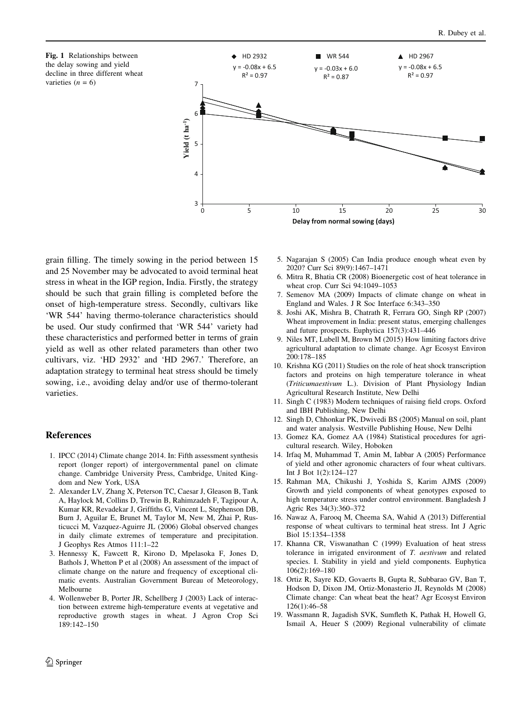

<span id="page-3-0"></span>

grain filling. The timely sowing in the period between 15 and 25 November may be advocated to avoid terminal heat stress in wheat in the IGP region, India. Firstly, the strategy should be such that grain filling is completed before the onset of high-temperature stress. Secondly, cultivars like 'WR 544' having thermo-tolerance characteristics should be used. Our study confirmed that 'WR 544' variety had these characteristics and performed better in terms of grain yield as well as other related parameters than other two cultivars, viz. 'HD 2932' and 'HD 2967.' Therefore, an adaptation strategy to terminal heat stress should be timely sowing, i.e., avoiding delay and/or use of thermo-tolerant varieties.

## References

- 1. IPCC (2014) Climate change 2014. In: Fifth assessment synthesis report (longer report) of intergovernmental panel on climate change. Cambridge University Press, Cambridge, United Kingdom and New York, USA
- 2. Alexander LV, Zhang X, Peterson TC, Caesar J, Gleason B, Tank A, Haylock M, Collins D, Trewin B, Rahimzadeh F, Tagipour A, Kumar KR, Revadekar J, Griffiths G, Vincent L, Stephenson DB, Burn J, Aguilar E, Brunet M, Taylor M, New M, Zhai P, Rusticucci M, Vazquez-Aguirre JL (2006) Global observed changes in daily climate extremes of temperature and precipitation. J Geophys Res Atmos 111:1–22
- 3. Hennessy K, Fawcett R, Kirono D, Mpelasoka F, Jones D, Bathols J, Whetton P et al (2008) An assessment of the impact of climate change on the nature and frequency of exceptional climatic events. Australian Government Bureau of Meteorology, Melbourne
- 4. Wollenweber B, Porter JR, Schellberg J (2003) Lack of interaction between extreme high-temperature events at vegetative and reproductive growth stages in wheat. J Agron Crop Sci 189:142–150
- 5. Nagarajan S (2005) Can India produce enough wheat even by 2020? Curr Sci 89(9):1467–1471
- 6. Mitra R, Bhatia CR (2008) Bioenergetic cost of heat tolerance in wheat crop. Curr Sci 94:1049–1053
- 7. Semenov MA (2009) Impacts of climate change on wheat in England and Wales. J R Soc Interface 6:343–350
- 8. Joshi AK, Mishra B, Chatrath R, Ferrara GO, Singh RP (2007) Wheat improvement in India: present status, emerging challenges and future prospects. Euphytica 157(3):431–446
- 9. Niles MT, Lubell M, Brown M (2015) How limiting factors drive agricultural adaptation to climate change. Agr Ecosyst Environ 200:178–185
- 10. Krishna KG (2011) Studies on the role of heat shock transcription factors and proteins on high temperature tolerance in wheat (Triticumaestivum L.). Division of Plant Physiology Indian Agricultural Research Institute, New Delhi
- 11. Singh C (1983) Modern techniques of raising field crops. Oxford and IBH Publishing, New Delhi
- 12. Singh D, Chhonkar PK, Dwivedi BS (2005) Manual on soil, plant and water analysis. Westville Publishing House, New Delhi
- 13. Gomez KA, Gomez AA (1984) Statistical procedures for agricultural research. Wiley, Hoboken
- 14. Irfaq M, Muhammad T, Amin M, Iabbar A (2005) Performance of yield and other agronomic characters of four wheat cultivars. Int J Bot 1(2):124–127
- 15. Rahman MA, Chikushi J, Yoshida S, Karim AJMS (2009) Growth and yield components of wheat genotypes exposed to high temperature stress under control environment. Bangladesh J Agric Res 34(3):360–372
- 16. Nawaz A, Farooq M, Cheema SA, Wahid A (2013) Differential response of wheat cultivars to terminal heat stress. Int J Agric Biol 15:1354–1358
- 17. Khanna CR, Viswanathan C (1999) Evaluation of heat stress tolerance in irrigated environment of T. aestivum and related species. I. Stability in yield and yield components. Euphytica 106(2):169–180
- 18. Ortiz R, Sayre KD, Govaerts B, Gupta R, Subbarao GV, Ban T, Hodson D, Dixon JM, Ortiz-Monasterio JI, Reynolds M (2008) Climate change: Can wheat beat the heat? Agr Ecosyst Environ 126(1):46–58
- 19. Wassmann R, Jagadish SVK, Sumfleth K, Pathak H, Howell G, Ismail A, Heuer S (2009) Regional vulnerability of climate